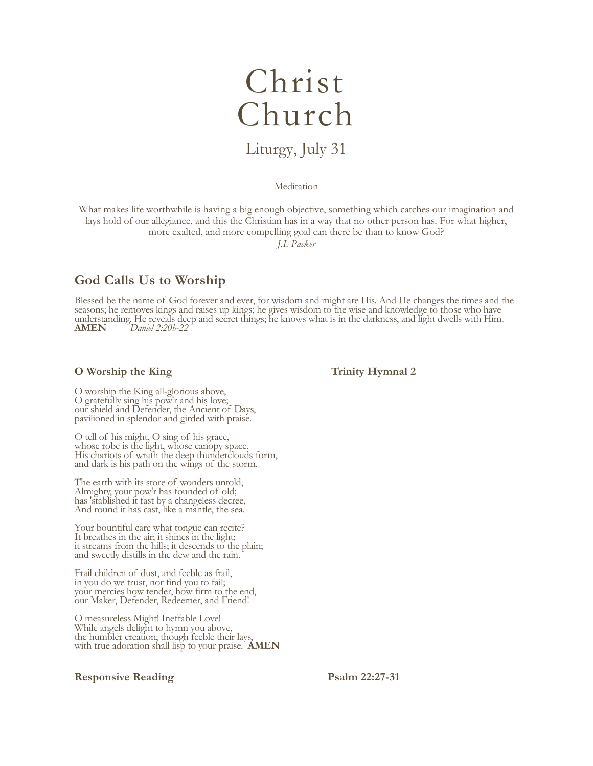# Christ Church

# Liturgy, July 31

#### Meditation

What makes life worthwhile is having a big enough objective, something which catches our imagination and lays hold of our allegiance, and this the Christian has in a way that no other person has. For what higher, more exalted, and more compelling goal can there be than to know God?

*J.I. Packer*

# **God Calls Us to Worship**

Blessed be the name of God forever and ever, for wisdom and might are His. And He changes the times and the seasons; he removes kings and raises up kings; he gives wisdom to the wise and knowledge to those who have understanding. He reveals deep and secret things; he knows what is in the darkness, and light dwells with Him.<br>AMEN Daniel 2:20b-22 **AMEN** *Daniel 2:20b-22*

### **O** Worship the King Trinity Hymnal 2

O worship the King all-glorious above, O gratefully sing his pow'r and his love; our shield and Defender, the Ancient of Days, pavilioned in splendor and girded with praise.

O tell of his might, O sing of his grace, whose robe is the light, whose canopy space. His chariots of wrath the deep thunderclouds form, and dark is his path on the wings of the storm.

The earth with its store of wonders untold, Almighty, your pow'r has founded of old; has 'stablished it fast by a changeless decree, And round it has cast, like a mantle, the sea.

Your bountiful care what tongue can recite? It breathes in the air; it shines in the light; it streams from the hills; it descends to the plain; and sweetly distills in the dew and the rain.

Frail children of dust, and feeble as frail, in you do we trust, nor find you to fail; your mercies how tender, how firm to the end, our Maker, Defender, Redeemer, and Friend!

O measureless Might! Ineffable Love! While angels delight to hymn you above, the humbler creation, though feeble their lays, with true adoration shall lisp to your praise. **AMEN**

### **Responsive Reading Psalm 22:27-31**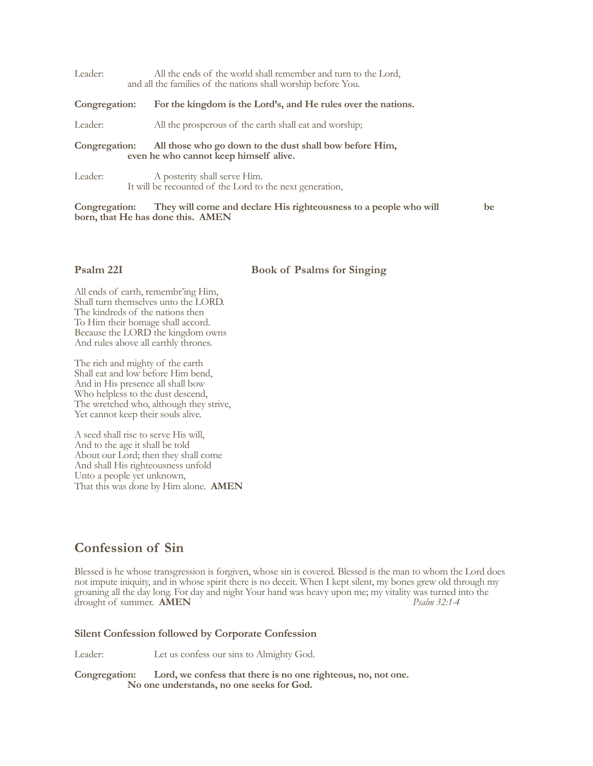| Leader:                                                                                                            | All the ends of the world shall remember and turn to the Lord,<br>and all the families of the nations shall worship before You. |
|--------------------------------------------------------------------------------------------------------------------|---------------------------------------------------------------------------------------------------------------------------------|
| Congregation:                                                                                                      | For the kingdom is the Lord's, and He rules over the nations.                                                                   |
| Leader:                                                                                                            | All the prosperous of the earth shall eat and worship;                                                                          |
| All those who go down to the dust shall bow before Him,<br>Congregation:<br>even he who cannot keep himself alive. |                                                                                                                                 |
| Leader:                                                                                                            | A posterity shall serve Him.                                                                                                    |

It will be recounted of the Lord to the next generation,

**Congregation: They will come and declare His righteousness to a people who will be born, that He has done this. AMEN**

#### **Psalm 22I Book of Psalms for Singing**

All ends of earth, remembr'ing Him, Shall turn themselves unto the LORD. The kindreds of the nations then To Him their homage shall accord. Because the LORD the kingdom owns And rules above all earthly thrones.

The rich and mighty of the earth Shall eat and low before Him bend, And in His presence all shall bow Who helpless to the dust descend, The wretched who, although they strive, Yet cannot keep their souls alive.

A seed shall rise to serve His will, And to the age it shall be told About our Lord; then they shall come And shall His righteousness unfold Unto a people yet unknown, That this was done by Him alone. **AMEN**

## **Confession of Sin**

Blessed is he whose transgression is forgiven, whose sin is covered. Blessed is the man to whom the Lord does not impute iniquity, and in whose spirit there is no deceit. When I kept silent, my bones grew old through my groaning all the day long. For day and night Your hand was heavy upon me; my vitality was turned into the drought of summer. **AMEN** drought of summer. **AMEN** 

#### **Silent Confession followed by Corporate Confession**

Leader: Let us confess our sins to Almighty God.

**Congregation: Lord, we confess that there is no one righteous, no, not one. No one understands, no one seeks for God.**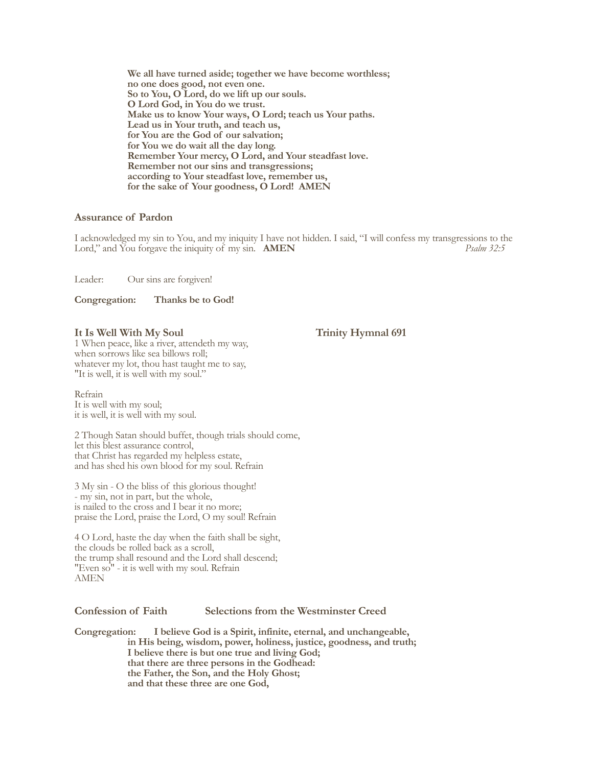**We all have turned aside; together we have become worthless; no one does good, not even one. So to You, O Lord, do we lift up our souls. O Lord God, in You do we trust. Make us to know Your ways, O Lord; teach us Your paths. Lead us in Your truth, and teach us, for You are the God of our salvation; for You we do wait all the day long. Remember Your mercy, O Lord, and Your steadfast love. Remember not our sins and transgressions; according to Your steadfast love, remember us, for the sake of Your goodness, O Lord! AMEN**

#### **Assurance of Pardon**

I acknowledged my sin to You, and my iniquity I have not hidden. I said, "I will confess my transgressions to the Lord," and You forgave the iniquity of my sin. **AMEN** Lord," and You forgave the iniquity of my sin. **AMEN** 

Leader: Our sins are forgiven!

**Congregation: Thanks be to God!**

#### It Is Well With My Soul Trinity Hymnal 691

1 When peace, like a river, attendeth my way, when sorrows like sea billows roll; whatever my lot, thou hast taught me to say, "It is well, it is well with my soul."

Refrain It is well with my soul; it is well, it is well with my soul.

2 Though Satan should buffet, though trials should come, let this blest assurance control, that Christ has regarded my helpless estate, and has shed his own blood for my soul. Refrain

3 My sin - O the bliss of this glorious thought! - my sin, not in part, but the whole, is nailed to the cross and I bear it no more; praise the Lord, praise the Lord, O my soul! Refrain

4 O Lord, haste the day when the faith shall be sight, the clouds be rolled back as a scroll, the trump shall resound and the Lord shall descend; "Even so" - it is well with my soul. Refrain AMEN

### **Confession of Faith Selections from the Westminster Creed**

**Congregation: I believe God is a Spirit, infinite, eternal, and unchangeable, in His being, wisdom, power, holiness, justice, goodness, and truth; I believe there is but one true and living God; that there are three persons in the Godhead: the Father, the Son, and the Holy Ghost; and that these three are one God,**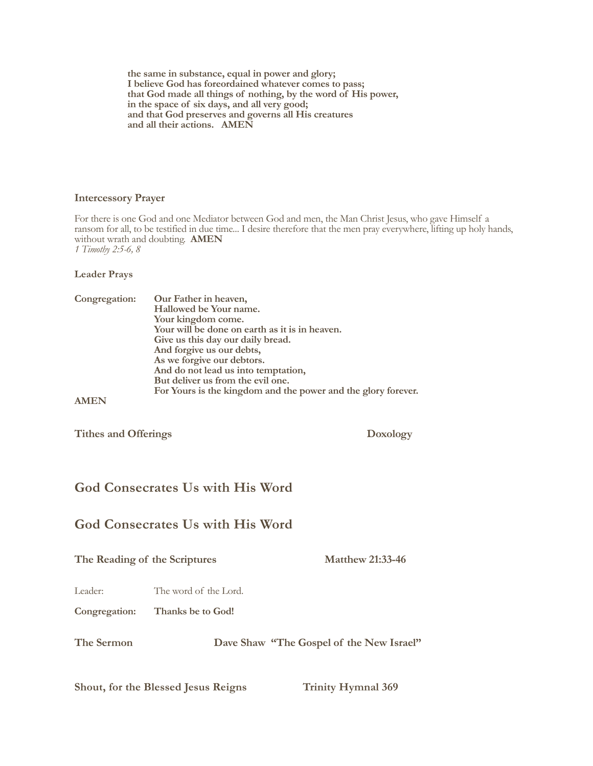**the same in substance, equal in power and glory; I believe God has foreordained whatever comes to pass; that God made all things of nothing, by the word of His power, in the space of six days, and all very good; and that God preserves and governs all His creatures and all their actions. AMEN**

### **Intercessory Prayer**

For there is one God and one Mediator between God and men, the Man Christ Jesus, who gave Himself a ransom for all, to be testified in due time... I desire therefore that the men pray everywhere, lifting up holy hands, without wrath and doubting. **AMEN** *1 Timothy 2:5-6, 8*

**Leader Prays**

| Congregation: | Our Father in heaven,<br>Hallowed be Your name.<br>Your kingdom come.<br>Your will be done on earth as it is in heaven.<br>Give us this day our daily bread.<br>And forgive us our debts,<br>As we forgive our debtors.<br>And do not lead us into temptation,<br>But deliver us from the evil one.<br>For Yours is the kingdom and the power and the glory forever. |
|---------------|----------------------------------------------------------------------------------------------------------------------------------------------------------------------------------------------------------------------------------------------------------------------------------------------------------------------------------------------------------------------|
|               |                                                                                                                                                                                                                                                                                                                                                                      |

**Tithes and Offerings Doxology**

# **God Consecrates Us with His Word**

# **God Consecrates Us with His Word**

The Reading of the Scriptures Matthew 21:33-46

Leader: The word of the Lord.

**Congregation: Thanks be to God!**

**The Sermon Dave Shaw "The Gospel of the New Israel"**

Shout, for the Blessed Jesus Reigns Trinity Hymnal 369 1 Shout, for the blessed Jesus reigns;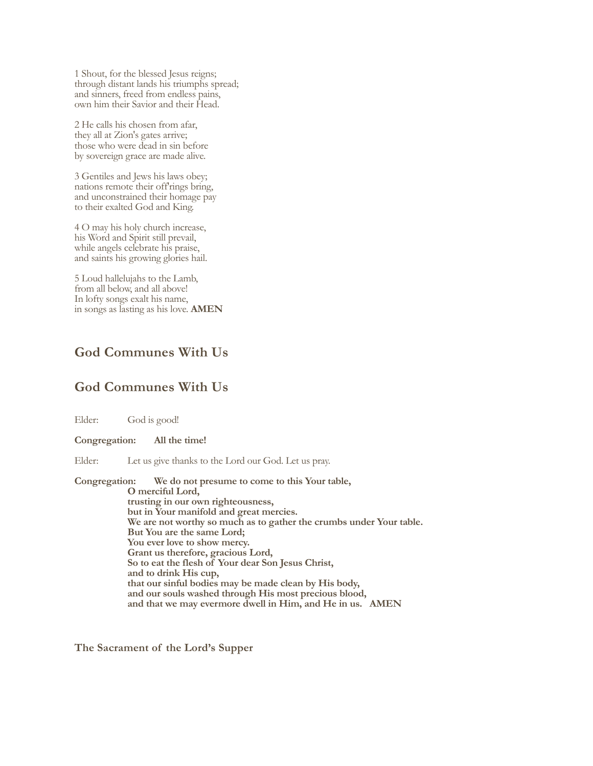1 Shout, for the blessed Jesus reigns; through distant lands his triumphs spread; and sinners, freed from endless pains, own him their Savior and their Head.

2 He calls his chosen from afar, they all at Zion's gates arrive; those who were dead in sin before by sovereign grace are made alive.

3 Gentiles and Jews his laws obey; nations remote their off'rings bring, and unconstrained their homage pay to their exalted God and King.

4 O may his holy church increase, his Word and Spirit still prevail, while angels celebrate his praise, and saints his growing glories hail.

5 Loud hallelujahs to the Lamb, from all below, and all above! In lofty songs exalt his name, in songs as lasting as his love. **AMEN**

# **God Communes With Us**

# **God Communes With Us**

Elder: God is good!

**Congregation: All the time!**

Elder: Let us give thanks to the Lord our God. Let us pray.

**Congregation: We do not presume to come to this Your table, O merciful Lord, trusting in our own righteousness, but in Your manifold and great mercies. We are not worthy so much as to gather the crumbs under Your table. But You are the same Lord; You ever love to show mercy. Grant us therefore, gracious Lord, So to eat the flesh of Your dear Son Jesus Christ, and to drink His cup, that our sinful bodies may be made clean by His body, and our souls washed through His most precious blood, and that we may evermore dwell in Him, and He in us. AMEN**

**The Sacrament of the Lord's Supper**